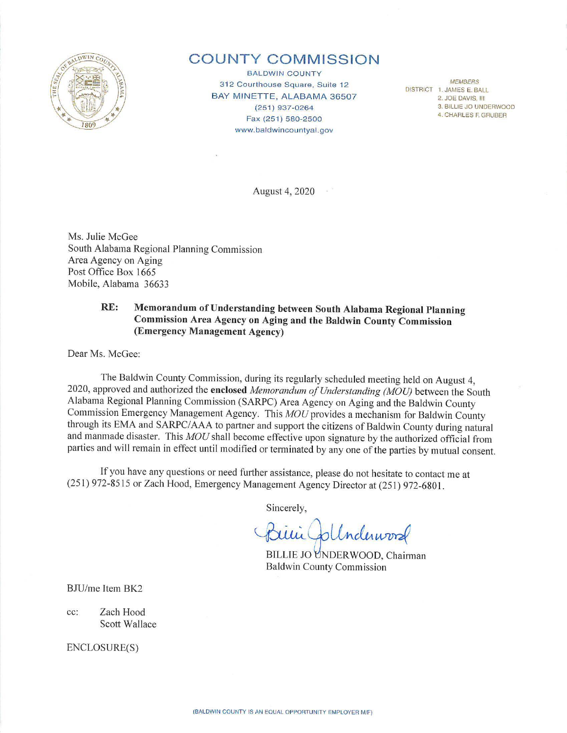

# **COUNTY COMMISSION**

**BALDWIN COUNTY** MEMBERS 312 Courthouse Square, Suite 12 BAY MINETTE, ALABAMA 36507 (251) 937-0264 Fax (251) 580-2500 www .baldwincountyal.gov

DISTRICT 1, JAMES E. BALL 2. JOE DAVIS. Ill 3. BILLIE JO UNDERWOOD 4. CHARLES F. GRUBER

August 4, 2020

Ms. Julie McGee South Alabama Regional Planning Commission Area Agency on Aging Post Office Box 1665 Mobile, Alabama 36633

# **RE: Memorandum of Understanding between South Alabama Regional Planning Commission Area Agency on Aging and the Baldwin County Commission (Emergency Management Agency)**

Dear Ms. McGee:

The Baldwin County Commission, during its regularly scheduled meeting held on August 4, 2020, approved and authorized the **enclosed** *Memorandum of Understanding (MOU)* between the South Alabama Regional Planning Commission (SARPC) Area Agency on Aging and the Baldwin County Commission Emergency Management Agency. This *MOU* provides a mechanism for Baldwin County through its EMA and SARPC/AAA to partner and support the citizens of Baldwin County during natural and manmade disaster. This *MOU* shall become effective upon signature by the authorized official from parties and will remain in effect until modified or terminated by any one of the parties by mutual consent.

If you have any questions or need further assistance, please do not hesitate to contact me at (251) 972-8515 or Zach Hood, Emergency Management Agency Director at (251) 972-6801.

Sincerely,

 $|$ Underwood

BILLIE JO UNDERWOOD, Chairman Ba ldwin County Commission

BJU/me Item BK2

cc: Zach Hood Scott Wallace

ENCLOSURE(S)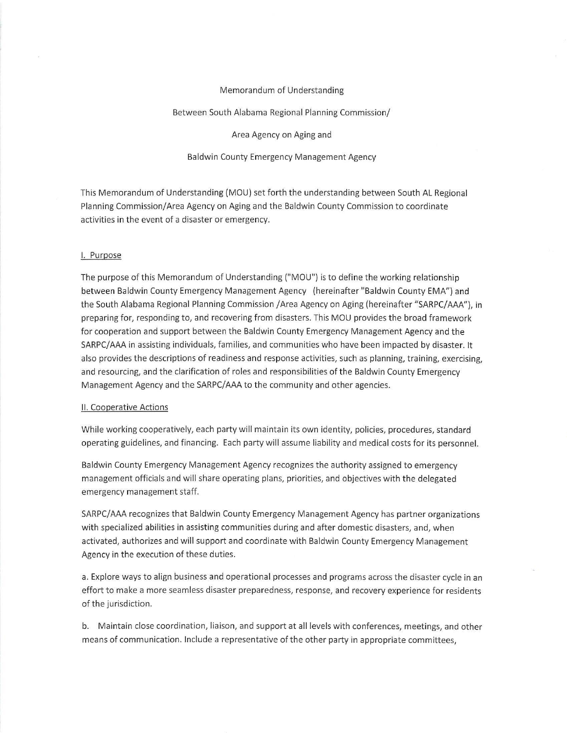#### Memorandum of Understanding

#### Between South Alabama Regional Planning Commission/

Area Agency on Aging and

Baldwin County Emergency Management Agency

This Memorandum of Understanding {MOU) set forth the understanding between South AL Regional Planning Commission/Area Agency on Aging and the Baldwin County Commission to coordinate activities in the event of a disaster or emergency.

## I. Purpose

The purpose of this Memorandum of Understanding {"MOU") is to define the working relationship between Baldwin County Emergency Management Agency {hereinafter "Baldwin County EMA") and the South Alabama Regional Planning Commission /Area Agency on Aging (hereinafter "SARPC/AAA"), in preparing for, responding to, and recovering from disasters. This MOU provides the broad framework for cooperation and support between the Baldwin County Emergency Management Agency and the SARPC/AAA in assisting individuals, families, and communities who have been impacted by disaster. It also provides the descriptions of readiness and response activities, such as planning, training, exercising, and resourcing, and the clarification of roles and responsibilities of the Baldwin County Emergency Management Agency and the SARPC/AAA to the community and other agencies.

#### II. Cooperative Actions

While working cooperatively, each party will maintain its own identity, policies, procedures, standard operating guidelines, and financing. Each party will assume liability and medical costs for its personnel.

Baldwin County Emergency Management Agency recognizes the authority assigned to emergency management officials and will share operating plans, priorities, and objectives with the delegated emergency management staff.

SARPC/AAA recognizes that Baldwin County Emergency Management Agency has partner organizations with specialized abilities in assisting communities during and after domestic disasters, and, when activated, authorizes and will support and coordinate with Baldwin County Emergency Management Agency in the execution of these duties.

a. Explore ways to align business and operational processes and programs across the disaster cycle in an effort to make a more seamless disaster preparedness, response, and recovery experience for residents of the jurisdiction.

b. Maintain close coordination, liaison, and support at all levels with conferences, meetings, and other means of communication. Include a representative of the other party in appropriate committees,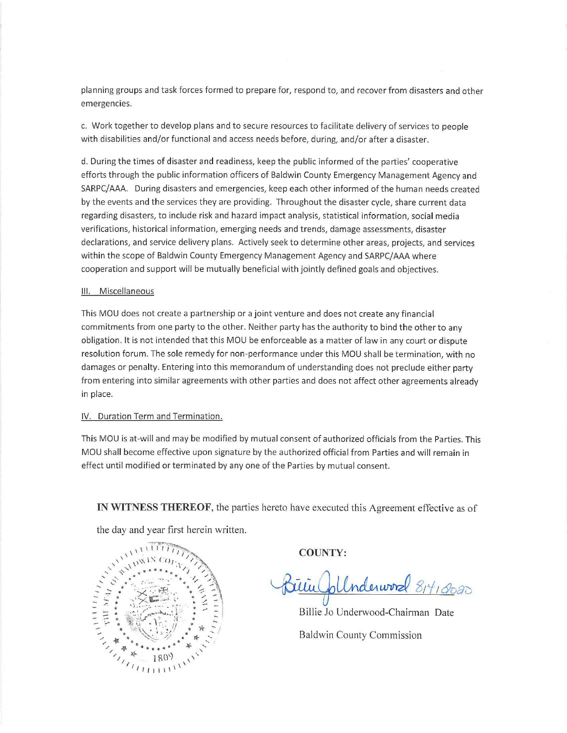planning groups and task forces formed to prepare for, respond to, and recover from disasters and other emergencies.

c. Work together to develop plans and to secure resources to facilitate delivery of services to people with disabilities and/or functional and access needs before, during, and/or after a disaster.

d. During the times of disaster and readiness, keep the public informed of the parties' cooperative efforts through the public information officers of Baldwin County Emergency Management Agency and SARPC/AAA. During disasters and emergencies, keep each other informed of the human needs created by the events and the services they are providing. Throughout the disaster cycle, share current data regarding disasters, to include risk and hazard impact analysis, statistical information, social media verifications, historical information, emerging needs and trends, damage assessments, disaster declarations, and service delivery plans. Actively seek to determine other areas, projects, and services within the scope of Baldwin County Emergency Management Agency and SARPC/AAA where cooperation and support will be mutually beneficial with jointly defined goals and objectives.

## Ill. Miscellaneous

This MOU does not create a partnership or a joint venture and does not create any financial commitments from one party to the other. Neither party has the authority to bind the other to any obligation. It is not intended that this MOU be enforceable as a matter of law in any court or dispute resolution forum. The sole remedy for non-performance under this MOU shall be termination, with no damages or penalty. Entering into this memorandum of understanding does not preclude either party from entering into similar agreements with other parties and does not affect other agreements already in place.

### IV. Duration Term and Termination.

This MOU is at-will and may be modified by mutual consent of authorized officials from the Parties. This MOU shall become effective upon signature by the authorized official from Parties and will remain in effect until modified or terminated by any one of the Parties by mutual consent.

**IN WITNESS THEREOF**, the parties hereto have executed this Agreement effective as of

the day and year first herein written.



**COUNTY:** 

 $\nu$ *um<sub>al</sub>* 8<sup>14</sup>19020

Billie Jo Underwood-Chairman Date Baldwin County Commission